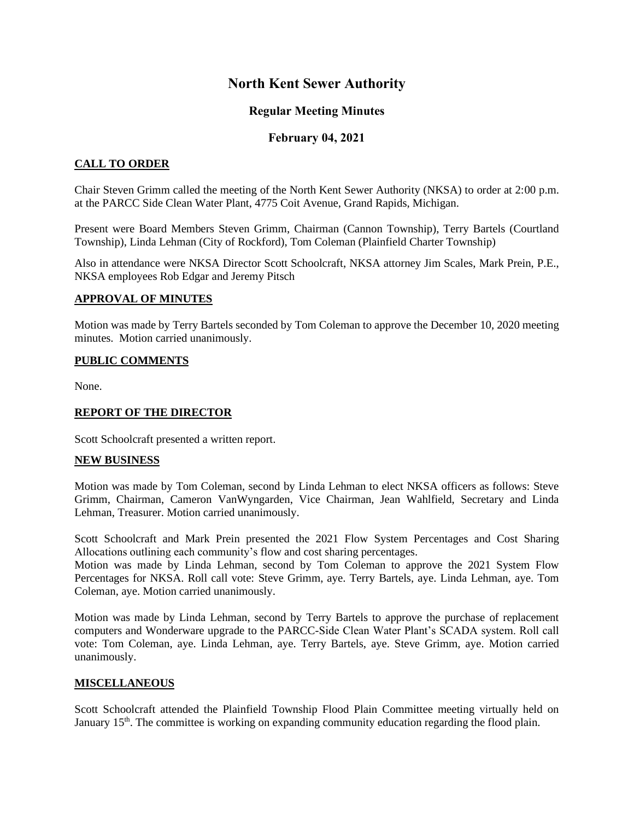## **North Kent Sewer Authority**

## **Regular Meeting Minutes**

## **February 04, 2021**

### **CALL TO ORDER**

Chair Steven Grimm called the meeting of the North Kent Sewer Authority (NKSA) to order at 2:00 p.m. at the PARCC Side Clean Water Plant, 4775 Coit Avenue, Grand Rapids, Michigan.

Present were Board Members Steven Grimm, Chairman (Cannon Township), Terry Bartels (Courtland Township), Linda Lehman (City of Rockford), Tom Coleman (Plainfield Charter Township)

Also in attendance were NKSA Director Scott Schoolcraft, NKSA attorney Jim Scales, Mark Prein, P.E., NKSA employees Rob Edgar and Jeremy Pitsch

#### **APPROVAL OF MINUTES**

Motion was made by Terry Bartels seconded by Tom Coleman to approve the December 10, 2020 meeting minutes. Motion carried unanimously.

#### **PUBLIC COMMENTS**

None.

#### **REPORT OF THE DIRECTOR**

Scott Schoolcraft presented a written report.

#### **NEW BUSINESS**

Motion was made by Tom Coleman, second by Linda Lehman to elect NKSA officers as follows: Steve Grimm, Chairman, Cameron VanWyngarden, Vice Chairman, Jean Wahlfield, Secretary and Linda Lehman, Treasurer. Motion carried unanimously.

Scott Schoolcraft and Mark Prein presented the 2021 Flow System Percentages and Cost Sharing Allocations outlining each community's flow and cost sharing percentages.

Motion was made by Linda Lehman, second by Tom Coleman to approve the 2021 System Flow Percentages for NKSA. Roll call vote: Steve Grimm, aye. Terry Bartels, aye. Linda Lehman, aye. Tom Coleman, aye. Motion carried unanimously.

Motion was made by Linda Lehman, second by Terry Bartels to approve the purchase of replacement computers and Wonderware upgrade to the PARCC-Side Clean Water Plant's SCADA system. Roll call vote: Tom Coleman, aye. Linda Lehman, aye. Terry Bartels, aye. Steve Grimm, aye. Motion carried unanimously.

#### **MISCELLANEOUS**

Scott Schoolcraft attended the Plainfield Township Flood Plain Committee meeting virtually held on January 15<sup>th</sup>. The committee is working on expanding community education regarding the flood plain.